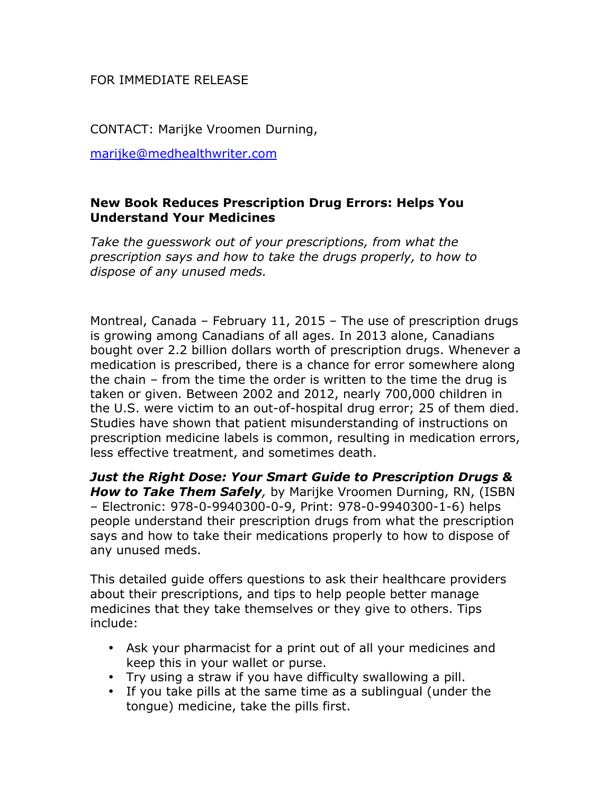## FOR IMMEDIATE RELEASE

CONTACT: Marijke Vroomen Durning,

marijke@medhealthwriter.com

## **New Book Reduces Prescription Drug Errors: Helps You Understand Your Medicines**

*Take the guesswork out of your prescriptions, from what the prescription says and how to take the drugs properly, to how to dispose of any unused meds.*

Montreal, Canada – February 11, 2015 – The use of prescription drugs is growing among Canadians of all ages. In 2013 alone, Canadians bought over 2.2 billion dollars worth of prescription drugs. Whenever a medication is prescribed, there is a chance for error somewhere along the chain – from the time the order is written to the time the drug is taken or given. Between 2002 and 2012, nearly 700,000 children in the U.S. were victim to an out-of-hospital drug error; 25 of them died. Studies have shown that patient misunderstanding of instructions on prescription medicine labels is common, resulting in medication errors, less effective treatment, and sometimes death.

*Just the Right Dose: Your Smart Guide to Prescription Drugs & How to Take Them Safely,* by Marijke Vroomen Durning, RN, (ISBN – Electronic: 978-0-9940300-0-9, Print: 978-0-9940300-1-6) helps people understand their prescription drugs from what the prescription says and how to take their medications properly to how to dispose of any unused meds.

This detailed guide offers questions to ask their healthcare providers about their prescriptions, and tips to help people better manage medicines that they take themselves or they give to others. Tips include:

- Ask your pharmacist for a print out of all your medicines and keep this in your wallet or purse.
- Try using a straw if you have difficulty swallowing a pill.
- If you take pills at the same time as a sublingual (under the tongue) medicine, take the pills first.